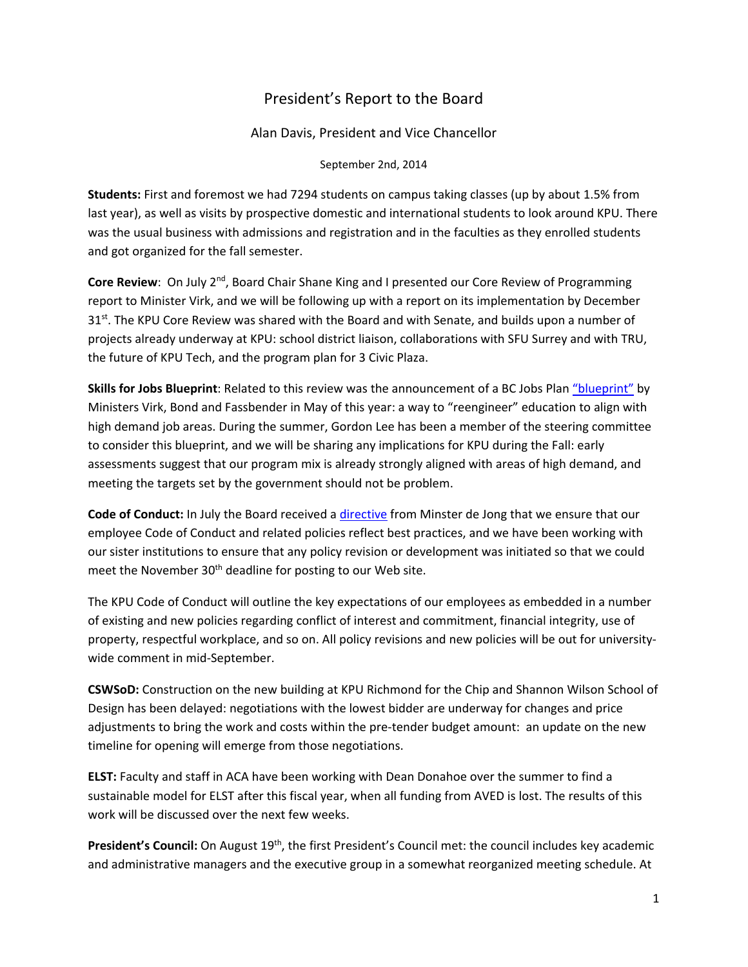# President's Report to the Board

Alan Davis, President and Vice Chancellor

September 2nd, 2014

**Students:** First and foremost we had 7294 students on campus taking classes (up by about 1.5% from last year), as well as visits by prospective domestic and international students to look around KPU. There was the usual business with admissions and registration and in the faculties as they enrolled students and got organized for the fall semester.

**Core Review**: On July 2<sup>nd</sup>, Board Chair Shane King and I presented our Core Review of Programming report to Minister Virk, and we will be following up with a report on its implementation by December  $31<sup>st</sup>$ . The KPU Core Review was shared with the Board and with Senate, and builds upon a number of projects already underway at KPU: school district liaison, collaborations with SFU Surrey and with TRU, the future of KPU Tech, and the program plan for 3 Civic Plaza.

**Skills for Jobs Blueprint**: Related to this review was the announcement of a BC Jobs Plan "blueprint" by Ministers Virk, Bond and Fassbender in May of this year: a way to "reengineer" education to align with high demand job areas. During the summer, Gordon Lee has been a member of the steering committee to consider this blueprint, and we will be sharing any implications for KPU during the Fall: early assessments suggest that our program mix is already strongly aligned with areas of high demand, and meeting the targets set by the government should not be problem.

**Code of Conduct:** In July the Board received a directive from Minster de Jong that we ensure that our employee Code of Conduct and related policies reflect best practices, and we have been working with our sister institutions to ensure that any policy revision or development was initiated so that we could meet the November 30<sup>th</sup> deadline for posting to our Web site.

The KPU Code of Conduct will outline the key expectations of our employees as embedded in a number of existing and new policies regarding conflict of interest and commitment, financial integrity, use of property, respectful workplace, and so on. All policy revisions and new policies will be out for university‐ wide comment in mid‐September.

**CSWSoD:** Construction on the new building at KPU Richmond for the Chip and Shannon Wilson School of Design has been delayed: negotiations with the lowest bidder are underway for changes and price adjustments to bring the work and costs within the pre-tender budget amount: an update on the new timeline for opening will emerge from those negotiations.

**ELST:** Faculty and staff in ACA have been working with Dean Donahoe over the summer to find a sustainable model for ELST after this fiscal year, when all funding from AVED is lost. The results of this work will be discussed over the next few weeks.

President's Council: On August 19<sup>th</sup>, the first President's Council met: the council includes key academic and administrative managers and the executive group in a somewhat reorganized meeting schedule. At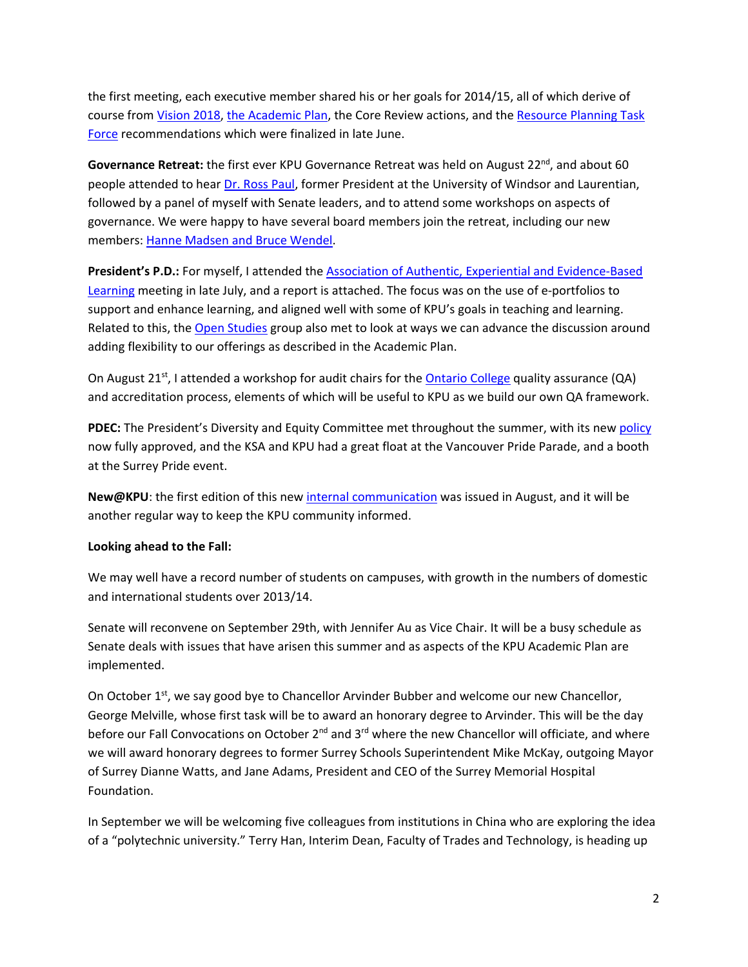the first meeting, each executive member shared his or her goals for 2014/15, all of which derive of course from Vision 2018, the Academic Plan, the Core Review actions, and the Resource Planning Task Force recommendations which were finalized in late June.

Governance Retreat: the first ever KPU Governance Retreat was held on August 22<sup>nd</sup>, and about 60 people attended to hear Dr. Ross Paul, former President at the University of Windsor and Laurentian, followed by a panel of myself with Senate leaders, and to attend some workshops on aspects of governance. We were happy to have several board members join the retreat, including our new members: Hanne Madsen and Bruce Wendel.

**President's P.D.:** For myself, I attended the Association of Authentic, Experiential and Evidence‐Based Learning meeting in late July, and a report is attached. The focus was on the use of e‐portfolios to support and enhance learning, and aligned well with some of KPU's goals in teaching and learning. Related to this, the Open Studies group also met to look at ways we can advance the discussion around adding flexibility to our offerings as described in the Academic Plan.

On August  $21^{st}$ , I attended a workshop for audit chairs for the Ontario College quality assurance (QA) and accreditation process, elements of which will be useful to KPU as we build our own QA framework.

**PDEC:** The President's Diversity and Equity Committee met throughout the summer, with its new policy now fully approved, and the KSA and KPU had a great float at the Vancouver Pride Parade, and a booth at the Surrey Pride event.

**New@KPU**: the first edition of this new internal communication was issued in August, and it will be another regular way to keep the KPU community informed.

### **Looking ahead to the Fall:**

We may well have a record number of students on campuses, with growth in the numbers of domestic and international students over 2013/14.

Senate will reconvene on September 29th, with Jennifer Au as Vice Chair. It will be a busy schedule as Senate deals with issues that have arisen this summer and as aspects of the KPU Academic Plan are implemented.

On October 1<sup>st</sup>, we say good bye to Chancellor Arvinder Bubber and welcome our new Chancellor, George Melville, whose first task will be to award an honorary degree to Arvinder. This will be the day before our Fall Convocations on October  $2^{nd}$  and  $3^{rd}$  where the new Chancellor will officiate, and where we will award honorary degrees to former Surrey Schools Superintendent Mike McKay, outgoing Mayor of Surrey Dianne Watts, and Jane Adams, President and CEO of the Surrey Memorial Hospital Foundation.

In September we will be welcoming five colleagues from institutions in China who are exploring the idea of a "polytechnic university." Terry Han, Interim Dean, Faculty of Trades and Technology, is heading up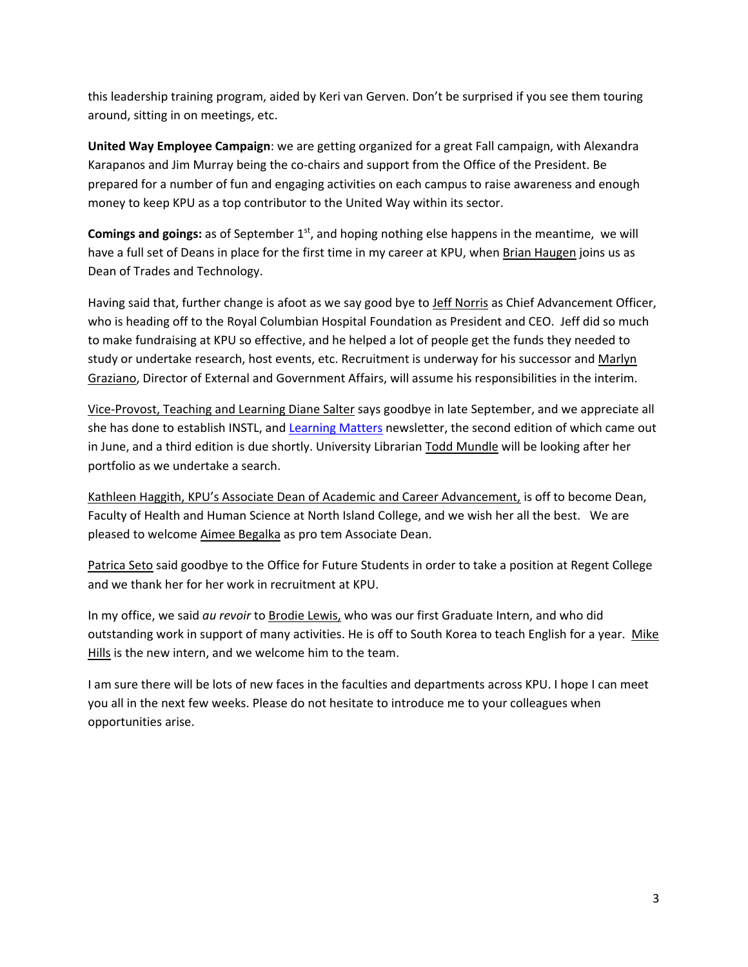this leadership training program, aided by Keri van Gerven. Don't be surprised if you see them touring around, sitting in on meetings, etc.

**United Way Employee Campaign**: we are getting organized for a great Fall campaign, with Alexandra Karapanos and Jim Murray being the co-chairs and support from the Office of the President. Be prepared for a number of fun and engaging activities on each campus to raise awareness and enough money to keep KPU as a top contributor to the United Way within its sector.

**Comings and goings:** as of September 1st, and hoping nothing else happens in the meantime, we will have a full set of Deans in place for the first time in my career at KPU, when Brian Haugen joins us as Dean of Trades and Technology.

Having said that, further change is afoot as we say good bye to Jeff Norris as Chief Advancement Officer, who is heading off to the Royal Columbian Hospital Foundation as President and CEO. Jeff did so much to make fundraising at KPU so effective, and he helped a lot of people get the funds they needed to study or undertake research, host events, etc. Recruitment is underway for his successor and Marlyn Graziano, Director of External and Government Affairs, will assume his responsibilities in the interim.

Vice‐Provost, Teaching and Learning Diane Salter says goodbye in late September, and we appreciate all she has done to establish INSTL, and Learning Matters newsletter, the second edition of which came out in June, and a third edition is due shortly. University Librarian Todd Mundle will be looking after her portfolio as we undertake a search.

Kathleen Haggith, KPU's Associate Dean of Academic and Career Advancement, is off to become Dean, Faculty of Health and Human Science at North Island College, and we wish her all the best. We are pleased to welcome Aimee Begalka as pro tem Associate Dean.

Patrica Seto said goodbye to the Office for Future Students in order to take a position at Regent College and we thank her for her work in recruitment at KPU.

In my office, we said *au revoir* to Brodie Lewis, who was our first Graduate Intern, and who did outstanding work in support of many activities. He is off to South Korea to teach English for a year. Mike Hills is the new intern, and we welcome him to the team.

I am sure there will be lots of new faces in the faculties and departments across KPU. I hope I can meet you all in the next few weeks. Please do not hesitate to introduce me to your colleagues when opportunities arise.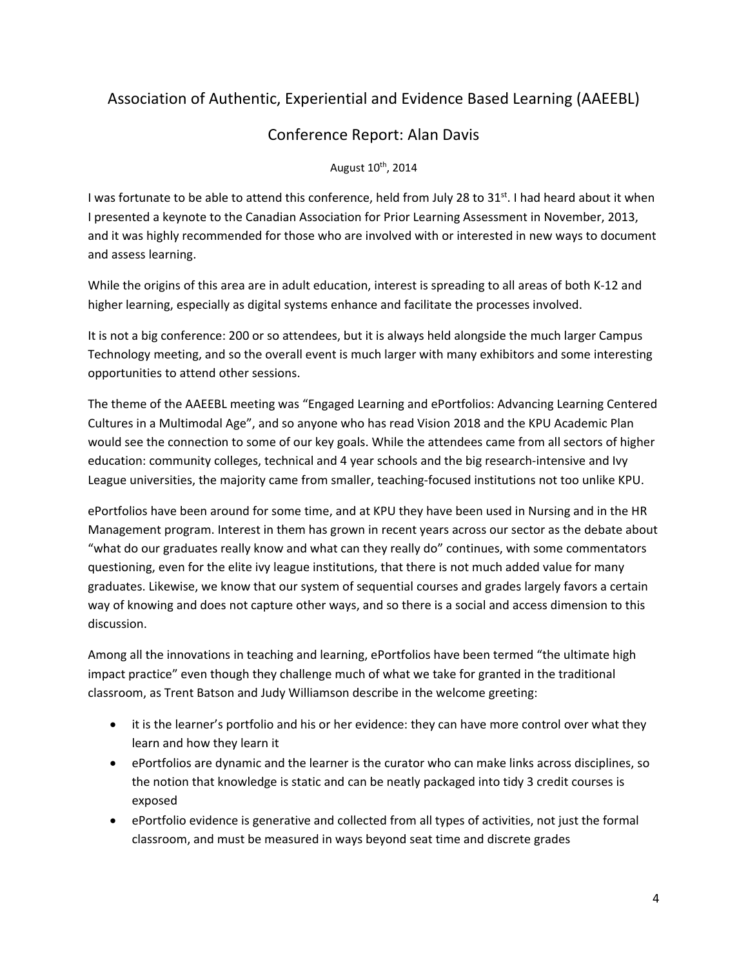# Association of Authentic, Experiential and Evidence Based Learning (AAEEBL)

# Conference Report: Alan Davis

### August 10<sup>th</sup>, 2014

I was fortunate to be able to attend this conference, held from July 28 to  $31^{st}$ . I had heard about it when I presented a keynote to the Canadian Association for Prior Learning Assessment in November, 2013, and it was highly recommended for those who are involved with or interested in new ways to document and assess learning.

While the origins of this area are in adult education, interest is spreading to all areas of both K‐12 and higher learning, especially as digital systems enhance and facilitate the processes involved.

It is not a big conference: 200 or so attendees, but it is always held alongside the much larger Campus Technology meeting, and so the overall event is much larger with many exhibitors and some interesting opportunities to attend other sessions.

The theme of the AAEEBL meeting was "Engaged Learning and ePortfolios: Advancing Learning Centered Cultures in a Multimodal Age", and so anyone who has read Vision 2018 and the KPU Academic Plan would see the connection to some of our key goals. While the attendees came from all sectors of higher education: community colleges, technical and 4 year schools and the big research-intensive and Ivy League universities, the majority came from smaller, teaching‐focused institutions not too unlike KPU.

ePortfolios have been around for some time, and at KPU they have been used in Nursing and in the HR Management program. Interest in them has grown in recent years across our sector as the debate about "what do our graduates really know and what can they really do" continues, with some commentators questioning, even for the elite ivy league institutions, that there is not much added value for many graduates. Likewise, we know that our system of sequential courses and grades largely favors a certain way of knowing and does not capture other ways, and so there is a social and access dimension to this discussion.

Among all the innovations in teaching and learning, ePortfolios have been termed "the ultimate high impact practice" even though they challenge much of what we take for granted in the traditional classroom, as Trent Batson and Judy Williamson describe in the welcome greeting:

- it is the learner's portfolio and his or her evidence: they can have more control over what they learn and how they learn it
- ePortfolios are dynamic and the learner is the curator who can make links across disciplines, so the notion that knowledge is static and can be neatly packaged into tidy 3 credit courses is exposed
- ePortfolio evidence is generative and collected from all types of activities, not just the formal classroom, and must be measured in ways beyond seat time and discrete grades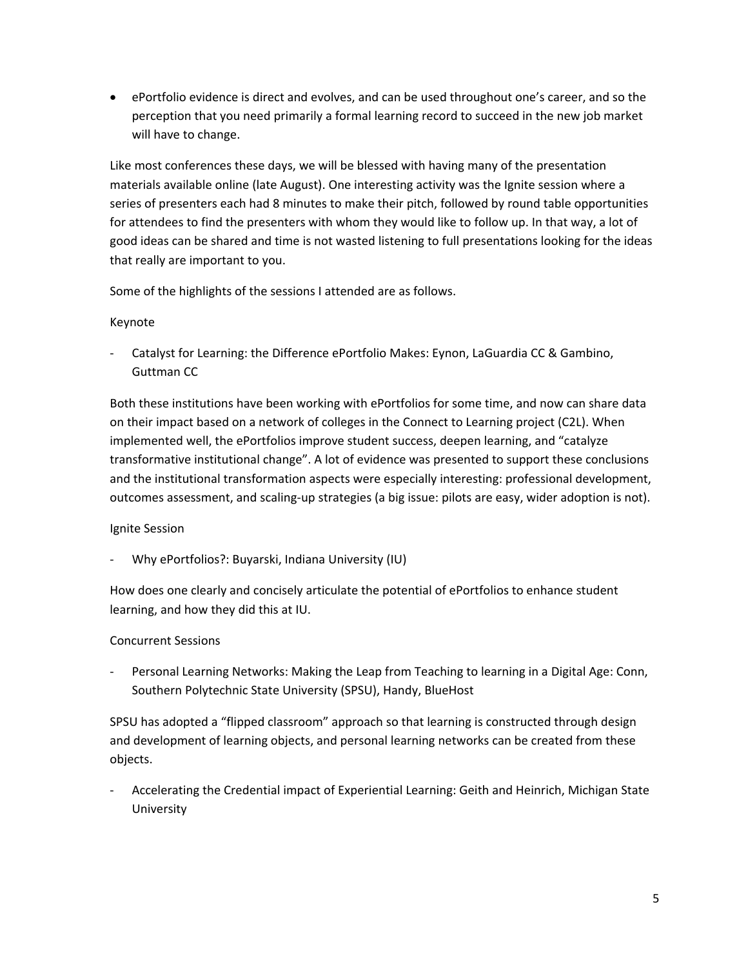ePortfolio evidence is direct and evolves, and can be used throughout one's career, and so the perception that you need primarily a formal learning record to succeed in the new job market will have to change.

Like most conferences these days, we will be blessed with having many of the presentation materials available online (late August). One interesting activity was the Ignite session where a series of presenters each had 8 minutes to make their pitch, followed by round table opportunities for attendees to find the presenters with whom they would like to follow up. In that way, a lot of good ideas can be shared and time is not wasted listening to full presentations looking for the ideas that really are important to you.

Some of the highlights of the sessions I attended are as follows.

#### Keynote

‐ Catalyst for Learning: the Difference ePortfolio Makes: Eynon, LaGuardia CC & Gambino, Guttman CC

Both these institutions have been working with ePortfolios for some time, and now can share data on their impact based on a network of colleges in the Connect to Learning project (C2L). When implemented well, the ePortfolios improve student success, deepen learning, and "catalyze transformative institutional change". A lot of evidence was presented to support these conclusions and the institutional transformation aspects were especially interesting: professional development, outcomes assessment, and scaling‐up strategies (a big issue: pilots are easy, wider adoption is not).

### Ignite Session

‐ Why ePortfolios?: Buyarski, Indiana University (IU)

How does one clearly and concisely articulate the potential of ePortfolios to enhance student learning, and how they did this at IU.

#### Concurrent Sessions

Personal Learning Networks: Making the Leap from Teaching to learning in a Digital Age: Conn, Southern Polytechnic State University (SPSU), Handy, BlueHost

SPSU has adopted a "flipped classroom" approach so that learning is constructed through design and development of learning objects, and personal learning networks can be created from these objects.

‐ Accelerating the Credential impact of Experiential Learning: Geith and Heinrich, Michigan State University